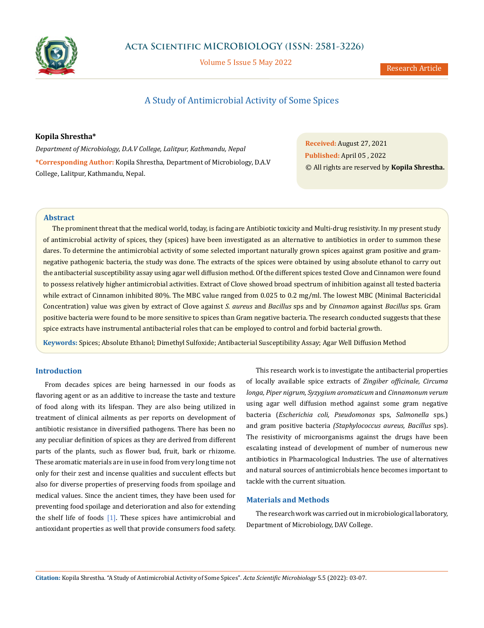

Volume 5 Issue 5 May 2022

# A Study of Antimicrobial Activity of Some Spices

**Kopila Shrestha\***

*Department of Microbiology, D.A.V College, Lalitpur, Kathmandu, Nepal* **\*Corresponding Author:** Kopila Shrestha, Department of Microbiology, D.A.V College, Lalitpur, Kathmandu, Nepal.

**Received:** August 27, 2021 **Published:** April 05 , 2022 © All rights are reserved by **Kopila Shrestha.**

# **Abstract**

The prominent threat that the medical world, today, is facing are Antibiotic toxicity and Multi-drug resistivity. In my present study of antimicrobial activity of spices, they (spices) have been investigated as an alternative to antibiotics in order to summon these dares. To determine the antimicrobial activity of some selected important naturally grown spices against gram positive and gramnegative pathogenic bacteria, the study was done. The extracts of the spices were obtained by using absolute ethanol to carry out the antibacterial susceptibility assay using agar well diffusion method. Of the different spices tested Clove and Cinnamon were found to possess relatively higher antimicrobial activities. Extract of Clove showed broad spectrum of inhibition against all tested bacteria while extract of Cinnamon inhibited 80%. The MBC value ranged from 0.025 to 0.2 mg/ml. The lowest MBC (Minimal Bactericidal Concentration) value was given by extract of Clove against *S. aureus* and *Bacillus* sps and by *Cinnamon* against *Bacillus* sps. Gram positive bacteria were found to be more sensitive to spices than Gram negative bacteria. The research conducted suggests that these spice extracts have instrumental antibacterial roles that can be employed to control and forbid bacterial growth.

**Keywords:** Spices; Absolute Ethanol; Dimethyl Sulfoxide; Antibacterial Susceptibility Assay; Agar Well Diffusion Method

# **Introduction**

From decades spices are being harnessed in our foods as flavoring agent or as an additive to increase the taste and texture of food along with its lifespan. They are also being utilized in treatment of clinical ailments as per reports on development of antibiotic resistance in diversified pathogens. There has been no any peculiar definition of spices as they are derived from different parts of the plants, such as flower bud, fruit, bark or rhizome. These aromatic materials are in use in food from very long time not only for their zest and incense qualities and succulent effects but also for diverse properties of preserving foods from spoilage and medical values. Since the ancient times, they have been used for preventing food spoilage and deterioration and also for extending the shelf life of foods  $[1]$ . These spices have antimicrobial and antioxidant properties as well that provide consumers food safety.

This research work is to investigate the antibacterial properties of locally available spice extracts of *Zingiber officinale, Circuma longa, Piper nigrum, Syzygium aromaticum* and *Cinnamonum verum* using agar well diffusion method against some gram negative bacteria (*Escherichia coli, Pseudomonas* sps, *Salmonella* sps.) and gram positive bacteria *(Staphylococcus aureus, Bacillus* sps). The resistivity of microorganisms against the drugs have been escalating instead of development of number of numerous new antibiotics in Pharmacological Industries. The use of alternatives and natural sources of antimicrobials hence becomes important to tackle with the current situation.

### **Materials and Methods**

The research work was carried out in microbiological laboratory, Department of Microbiology, DAV College.

**Citation:** Kopila Shrestha*.* "A Study of Antimicrobial Activity of Some Spices". *Acta Scientific Microbiology* 5.5 (2022): 03-07.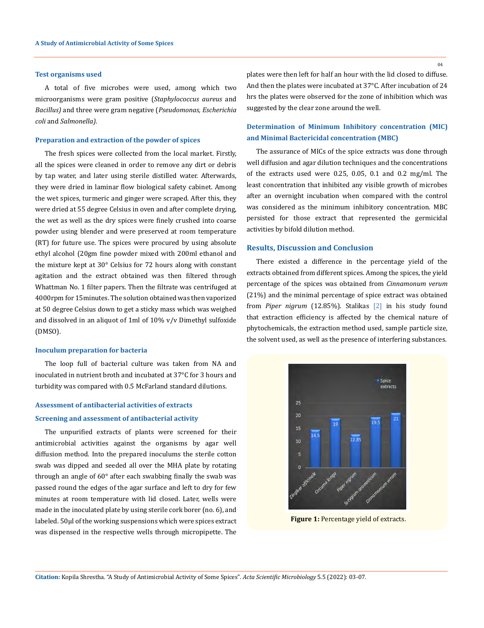#### **Test organisms used**

A total of five microbes were used, among which two microorganisms were gram positive (*Staphylococcus aureus* and *Bacillus)* and three were gram negative (*Pseudomonas, Escherichia coli* and *Salmonella).*

#### **Preparation and extraction of the powder of spices**

The fresh spices were collected from the local market. Firstly, all the spices were cleaned in order to remove any dirt or debris by tap water, and later using sterile distilled water. Afterwards, they were dried in laminar flow biological safety cabinet. Among the wet spices, turmeric and ginger were scraped. After this, they were dried at 55 degree Celsius in oven and after complete drying, the wet as well as the dry spices were finely crushed into coarse powder using blender and were preserved at room temperature (RT) for future use. The spices were procured by using absolute ethyl alcohol (20gm fine powder mixed with 200ml ethanol and the mixture kept at 30° Celsius for 72 hours along with constant agitation and the extract obtained was then filtered through Whattman No. 1 filter papers. Then the filtrate was centrifuged at 4000rpm for 15minutes. The solution obtained was then vaporized at 50 degree Celsius down to get a sticky mass which was weighed and dissolved in an aliquot of 1ml of 10% v/v Dimethyl sulfoxide (DMSO).

#### **Inoculum preparation for bacteria**

The loop full of bacterial culture was taken from NA and inoculated in nutrient broth and incubated at 37°C for 3 hours and turbidity was compared with 0.5 McFarland standard dilutions.

#### **Assessment of antibacterial activities of extracts**

#### **Screening and assessment of antibacterial activity**

The unpurified extracts of plants were screened for their antimicrobial activities against the organisms by agar well diffusion method. Into the prepared inoculums the sterile cotton swab was dipped and seeded all over the MHA plate by rotating through an angle of 60° after each swabbing finally the swab was passed round the edges of the agar surface and left to dry for few minutes at room temperature with lid closed. Later, wells were made in the inoculated plate by using sterile cork borer (no. 6), and labeled. 50µl of the working suspensions which were spices extract was dispensed in the respective wells through micropipette. The

plates were then left for half an hour with the lid closed to diffuse. And then the plates were incubated at 37°C. After incubation of 24 hrs the plates were observed for the zone of inhibition which was suggested by the clear zone around the well.

# **Determination of Minimum Inhibitory concentration (MIC) and Minimal Bactericidal concentration (MBC)**

The assurance of MICs of the spice extracts was done through well diffusion and agar dilution techniques and the concentrations of the extracts used were 0.25, 0.05, 0.1 and 0.2 mg/ml. The least concentration that inhibited any visible growth of microbes after an overnight incubation when compared with the control was considered as the minimum inhibitory concentration. MBC persisted for those extract that represented the germicidal activities by bifold dilution method.

### **Results, Discussion and Conclusion**

There existed a difference in the percentage yield of the extracts obtained from different spices. Among the spices, the yield percentage of the spices was obtained from *Cinnamonum verum* (21%) and the minimal percentage of spice extract was obtained from *Piper nigrum* (12.85%). Stalikas [2] in his study found that extraction efficiency is affected by the chemical nature of phytochemicals, the extraction method used, sample particle size, the solvent used, as well as the presence of interfering substances.



**Figure 1:** Percentage yield of extracts.

**Citation:** Kopila Shrestha*.* "A Study of Antimicrobial Activity of Some Spices". *Acta Scientific Microbiology* 5.5 (2022): 03-07.

 $04$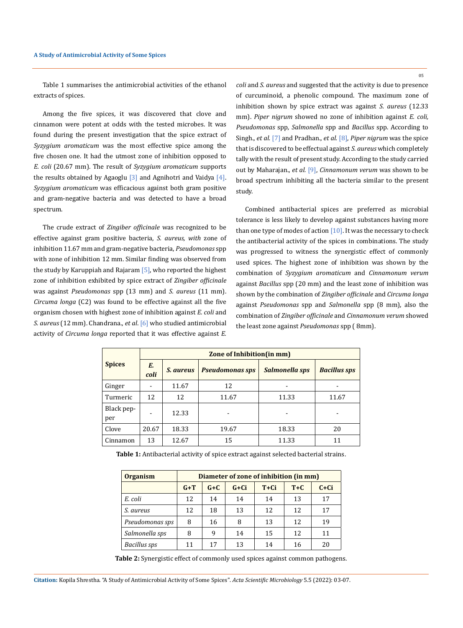Table 1 summarises the antimicrobial activities of the ethanol extracts of spices.

Among the five spices, it was discovered that clove and cinnamon were potent at odds with the tested microbes. It was found during the present investigation that the spice extract of *Syzygium aromaticum* was the most effective spice among the five chosen one. It had the utmost zone of inhibition opposed to *E. coli* (20.67 mm). The result of *Syzygium aromaticum* supports the results obtained by Agaoglu  $[3]$  and Agnihotri and Vaidya  $[4]$ . *Syzygium aromaticum* was efficacious against both gram positive and gram-negative bacteria and was detected to have a broad spectrum.

The crude extract of *Zingiber officinale* was recognized to be effective against gram positive bacteria, *S. aureus, with* zone of inhibition 11.67 mm and gram-negative bacteria, *Pseudomonas* spp with zone of inhibition 12 mm. Similar finding was observed from the study by Karuppiah and Rajaram [5], who reported the highest zone of inhibition exhibited by spice extract of *Zingiber officinale*  was against *Pseudomonas* spp (13 mm) and *S. aureus* (11 mm). *Circuma longa* (C2) was found to be effective against all the five organism chosen with highest zone of inhibition against *E. coli* and *S. aureus* (12 mm). Chandrana., *et al*. [6] who studied antimicrobial activity of *Circuma longa* reported that it was effective against *E.* 

*coli* and *S. aureus* and suggested that the activity is due to presence of curcuminoid, a phenolic compound. The maximum zone of inhibition shown by spice extract was against *S. aureus* (12.33 mm). *Piper nigrum* showed no zone of inhibition against *E. coli, Pseudomonas* spp*, Salmonella* spp and *Bacillus* spp. According to Singh., *et al.* [7] and Pradhan., *et al.* [8], *Piper nigrum* was the spice that is discovered to be effectual against *S. aureus* which completely tally with the result of present study. According to the study carried out by Maharajan., *et al.* [9], *Cinnamonum verum* was shown to be broad spectrum inhibiting all the bacteria similar to the present study.

Combined antibacterial spices are preferred as microbial tolerance is less likely to develop against substances having more than one type of modes of action  $[10]$ . It was the necessary to check the antibacterial activity of the spices in combinations. The study was progressed to witness the synergistic effect of commonly used spices. The highest zone of inhibition was shown by the combination of *Syzygium aromaticum* and *Cinnamonum verum* against *Bacillus* spp (20 mm) and the least zone of inhibition was shown by the combination of *Zingiber officinale* and *Circuma longa* against *Pseudomonas* spp and *Salmonella* spp (8 mm), also the combination of *Zingiber officinale* and *Cinnamonum verum* showed the least zone against *Pseudomonas* spp ( 8mm).

|                   | Zone of Inhibition (in mm) |                  |                        |                |                     |  |  |
|-------------------|----------------------------|------------------|------------------------|----------------|---------------------|--|--|
| <b>Spices</b>     | Е.<br>coli                 | <i>S. aureus</i> | <b>Pseudomonas sps</b> | Salmonella sps | <b>Bacillus sps</b> |  |  |
| Ginger            |                            | 11.67            | 12                     |                |                     |  |  |
| Turmeric          | 12                         | 12               | 11.67                  | 11.33          | 11.67               |  |  |
| Black pep-<br>per | -                          | 12.33            |                        |                | -                   |  |  |
| Clove             | 20.67                      | 18.33            | 19.67                  | 18.33          | 20                  |  |  |
| Cinnamon          | 13                         | 12.67            | 15                     | 11.33          | 11                  |  |  |

**Table 1:** Antibacterial activity of spice extract against selected bacterial strains.

| <b>Organism</b>     | Diameter of zone of inhibition (in mm) |         |          |        |       |        |  |
|---------------------|----------------------------------------|---------|----------|--------|-------|--------|--|
|                     | $G+T$                                  | $G + C$ | $G + Ci$ | $T+Ci$ | $T+C$ | $C+Ci$ |  |
| E. coli             | 12                                     | 14      | 14       | 14     | 13    | 17     |  |
| S. aureus           | 12                                     | 18      | 13       | 12     | 12    | 17     |  |
| Pseudomonas sps     | 8                                      | 16      | 8        | 13     | 12    | 19     |  |
| Salmonella sps      | 8                                      | 9       | 14       | 15     | 12    | 11     |  |
| <b>Bacillus</b> sps | 11                                     | 17      | 13       | 14     | 16    | 20     |  |

**Table 2:** Synergistic effect of commonly used spices against common pathogens.

05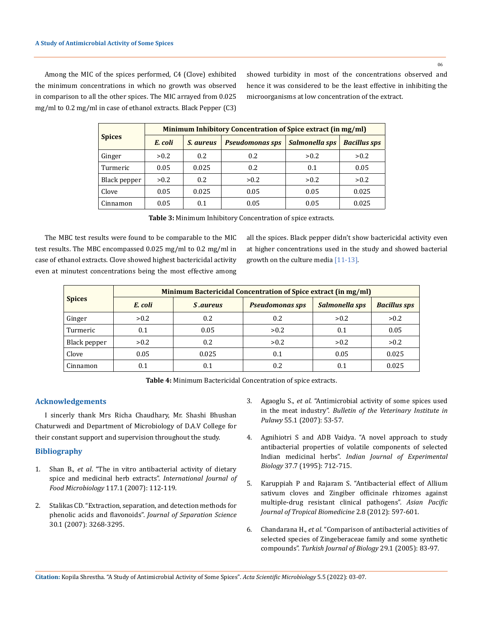06

Among the MIC of the spices performed, C4 (Clove) exhibited the minimum concentrations in which no growth was observed in comparison to all the other spices. The MIC arrayed from 0.025 mg/ml to 0.2 mg/ml in case of ethanol extracts. Black Pepper (C3) showed turbidity in most of the concentrations observed and hence it was considered to be the least effective in inhibiting the microorganisms at low concentration of the extract.

|               | Minimum Inhibitory Concentration of Spice extract (in mg/ml) |                  |                        |                |                     |  |  |
|---------------|--------------------------------------------------------------|------------------|------------------------|----------------|---------------------|--|--|
| <b>Spices</b> | E. coli                                                      | <i>S. aureus</i> | <b>Pseudomonas sps</b> | Salmonella sps | <b>Bacillus sps</b> |  |  |
| Ginger        | > 0.2                                                        | 0.2              | 0.2                    | > 0.2          | >0.2                |  |  |
| Turmeric      | 0.05                                                         | 0.025            | 0.2                    | 0.1            | 0.05                |  |  |
| Black pepper  | > 0.2                                                        | 0.2              | > 0.2                  | > 0.2          | >0.2                |  |  |
| Clove         | 0.05                                                         | 0.025            | 0.05                   | 0.05           | 0.025               |  |  |
| Cinnamon      | 0.05                                                         | 0.1              | 0.05                   | 0.05           | 0.025               |  |  |

| Table 3: Minimum Inhibitory Concentration of spice extracts. |
|--------------------------------------------------------------|
|                                                              |

The MBC test results were found to be comparable to the MIC test results. The MBC encompassed 0.025 mg/ml to 0.2 mg/ml in case of ethanol extracts. Clove showed highest bactericidal activity even at minutest concentrations being the most effective among all the spices. Black pepper didn't show bactericidal activity even at higher concentrations used in the study and showed bacterial growth on the culture media [11-13].

|               | Minimum Bactericidal Concentration of Spice extract (in mg/ml) |                 |                        |                |                     |  |  |  |
|---------------|----------------------------------------------------------------|-----------------|------------------------|----------------|---------------------|--|--|--|
| <b>Spices</b> | E. coli                                                        | <i>S.aureus</i> | <b>Pseudomonas sps</b> | Salmonella sps | <b>Bacillus sps</b> |  |  |  |
| Ginger        | > 0.2                                                          | 0.2             | 0.2                    | > 0.2          | >0.2                |  |  |  |
| Turmeric      | 0.1                                                            | 0.05            | > 0.2                  | 0.1            | 0.05                |  |  |  |
| Black pepper  | > 0.2                                                          | 0.2             | > 0.2                  | > 0.2          | >0.2                |  |  |  |
| Clove         | 0.05                                                           | 0.025           | 0.1                    | 0.05           | 0.025               |  |  |  |
| Cinnamon      | 0.1                                                            | 0.1             | 0.2                    | 0.1            | 0.025               |  |  |  |

**Table 4:** Minimum Bactericidal Concentration of spice extracts.

# **Acknowledgements**

I sincerly thank Mrs Richa Chaudhary, Mr. Shashi Bhushan Chaturwedi and Department of Microbiology of D.A.V College for their constant support and supervision throughout the study.

### **Bibliography**

- 1. Shan B., *et al*[. "The in vitro antibacterial activity of dietary](https://pubmed.ncbi.nlm.nih.gov/17449125/)  [spice and medicinal herb extracts".](https://pubmed.ncbi.nlm.nih.gov/17449125/) *International Journal of Food Microbiology* [117.1 \(2007\): 112-119.](https://pubmed.ncbi.nlm.nih.gov/17449125/)
- 2. [Stalikas CD. "Extraction, separation, and detection methods for](https://pubmed.ncbi.nlm.nih.gov/18069740/)  phenolic acids and flavonoids". *[Journal of Separation Science](https://pubmed.ncbi.nlm.nih.gov/18069740/)*  [30.1 \(2007\): 3268-3295.](https://pubmed.ncbi.nlm.nih.gov/18069740/)
- 3. Agaoglu S., *et al*[. "Antimicrobial activity of some spices used](https://tarjomefa.com/wp-content/uploads/2016/11/5687-English.pdf)  in the meat industry". *[Bulletin of the Veterinary Institute in](https://tarjomefa.com/wp-content/uploads/2016/11/5687-English.pdf)  Pulawy* [55.1 \(2007\): 53-57.](https://tarjomefa.com/wp-content/uploads/2016/11/5687-English.pdf)
- 4. [Agnihiotri S and ADB Vaidya. "A novel approach to study](https://pubmed.ncbi.nlm.nih.gov/8979514/)  [antibacterial properties of volatile components of selected](https://pubmed.ncbi.nlm.nih.gov/8979514/)  Indian medicinal herbs". *[Indian Journal of Experimental](https://pubmed.ncbi.nlm.nih.gov/8979514/)  Biology* [37.7 \(1995\): 712-715.](https://pubmed.ncbi.nlm.nih.gov/8979514/)
- 5. [Karuppiah P and Rajaram S. "Antibacterial effect of Allium](https://www.ncbi.nlm.nih.gov/pmc/articles/PMC3609356/)  [sativum cloves and Zingiber officinale rhizomes against](https://www.ncbi.nlm.nih.gov/pmc/articles/PMC3609356/)  [multiple-drug resistant clinical pathogens".](https://www.ncbi.nlm.nih.gov/pmc/articles/PMC3609356/) *Asian Pacific [Journal of Tropical Biomedicine](https://www.ncbi.nlm.nih.gov/pmc/articles/PMC3609356/)* 2.8 (2012): 597-601.
- 6. Chandarana H., *et al*[. "Comparison of antibacterial activities of](https://www.semanticscholar.org/paper/Comparison-of-Antibacterial-Activities-of-Selected-Chandarana-Baluja/f4f3658bb5c6e51e3c3c8b65fa8f6f92436e4a86)  [selected species of Zingeberaceae family and some synthetic](https://www.semanticscholar.org/paper/Comparison-of-Antibacterial-Activities-of-Selected-Chandarana-Baluja/f4f3658bb5c6e51e3c3c8b65fa8f6f92436e4a86)  compounds". *[Turkish Journal of Biology](https://www.semanticscholar.org/paper/Comparison-of-Antibacterial-Activities-of-Selected-Chandarana-Baluja/f4f3658bb5c6e51e3c3c8b65fa8f6f92436e4a86)* 29.1 (2005): 83-97.